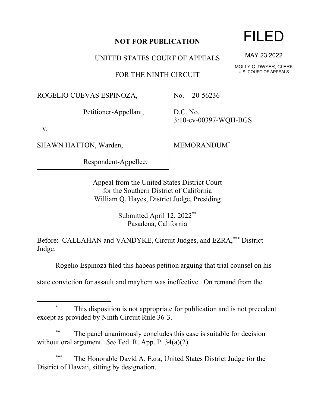## **NOT FOR PUBLICATION**

UNITED STATES COURT OF APPEALS

FOR THE NINTH CIRCUIT

## ROGELIO CUEVAS ESPINOZA,

Petitioner-Appellant,

v.

SHAWN HATTON, Warden,

Respondent-Appellee.

No. 20-56236

D.C. No. 3:10-cv-00397-WQH-BGS

MEMORANDUM\*

Appeal from the United States District Court for the Southern District of California William Q. Hayes, District Judge, Presiding

> Submitted April 12, 2022\*\* Pasadena, California

Before: CALLAHAN and VANDYKE, Circuit Judges, and EZRA,\*\*\* District Judge.

Rogelio Espinoza filed this habeas petition arguing that trial counsel on his

state conviction for assault and mayhem was ineffective. On remand from the

## This disposition is not appropriate for publication and is not precedent except as provided by Ninth Circuit Rule 36-3.

The panel unanimously concludes this case is suitable for decision without oral argument. *See* Fed. R. App. P. 34(a)(2).

The Honorable David A. Ezra, United States District Judge for the District of Hawaii, sitting by designation.

## FILED

MAY 23 2022

MOLLY C. DWYER, CLERK U.S. COURT OF APPEALS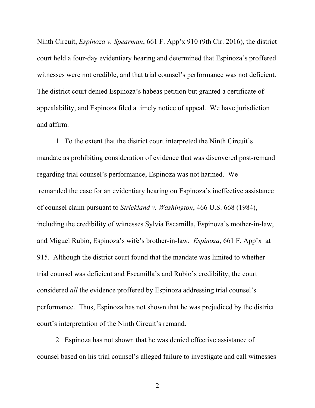Ninth Circuit, *Espinoza v. Spearman*, 661 F. App'x 910 (9th Cir. 2016), the district court held a four-day evidentiary hearing and determined that Espinoza's proffered witnesses were not credible, and that trial counsel's performance was not deficient. The district court denied Espinoza's habeas petition but granted a certificate of appealability, and Espinoza filed a timely notice of appeal. We have jurisdiction and affirm.

1. To the extent that the district court interpreted the Ninth Circuit's mandate as prohibiting consideration of evidence that was discovered post-remand regarding trial counsel's performance, Espinoza was not harmed. We remanded the case for an evidentiary hearing on Espinoza's ineffective assistance of counsel claim pursuant to *Strickland v. Washington*, 466 U.S. 668 (1984), including the credibility of witnesses Sylvia Escamilla, Espinoza's mother-in-law, and Miguel Rubio, Espinoza's wife's brother-in-law. *Espinoza*, 661 F. App'x at 915. Although the district court found that the mandate was limited to whether trial counsel was deficient and Escamilla's and Rubio's credibility, the court considered *all* the evidence proffered by Espinoza addressing trial counsel's performance. Thus, Espinoza has not shown that he was prejudiced by the district court's interpretation of the Ninth Circuit's remand.

2. Espinoza has not shown that he was denied effective assistance of counsel based on his trial counsel's alleged failure to investigate and call witnesses

2 a set of  $\sim$  2 a set of  $\sim$  2 a set of  $\sim$  2 a set of  $\sim$  3 a set of  $\sim$  3 a set of  $\sim$  3 a set of  $\sim$  3 a set of  $\sim$  3 a set of  $\sim$  3 a set of  $\sim$  3 a set of  $\sim$  3 a set of  $\sim$  3 a set of  $\sim$  3 a set of  $\sim$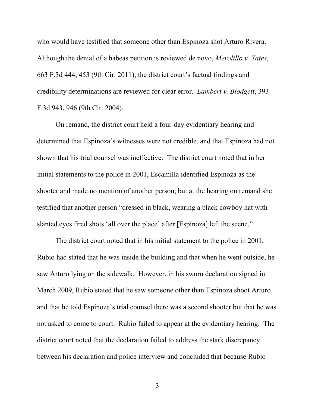who would have testified that someone other than Espinoza shot Arturo Rivera. Although the denial of a habeas petition is reviewed de novo, *Merolillo v. Yates*, 663 F.3d 444, 453 (9th Cir. 2011), the district court's factual findings and credibility determinations are reviewed for clear error. *Lambert v. Blodgett*, 393 F.3d 943, 946 (9th Cir. 2004).

On remand, the district court held a four-day evidentiary hearing and determined that Espinoza's witnesses were not credible, and that Espinoza had not shown that his trial counsel was ineffective. The district court noted that in her initial statements to the police in 2001, Escamilla identified Espinoza as the shooter and made no mention of another person, but at the hearing on remand she testified that another person "dressed in black, wearing a black cowboy hat with slanted eyes fired shots 'all over the place' after [Espinoza] left the scene."

The district court noted that in his initial statement to the police in 2001, Rubio had stated that he was inside the building and that when he went outside, he saw Arturo lying on the sidewalk. However, in his sworn declaration signed in March 2009, Rubio stated that he saw someone other than Espinoza shoot Arturo and that he told Espinoza's trial counsel there was a second shooter but that he was not asked to come to court. Rubio failed to appear at the evidentiary hearing. The district court noted that the declaration failed to address the stark discrepancy between his declaration and police interview and concluded that because Rubio

3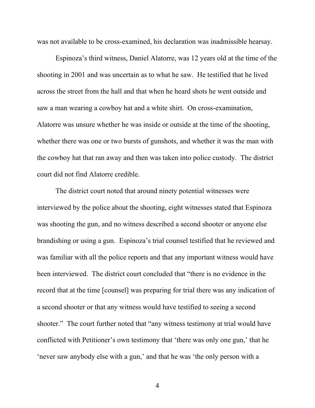was not available to be cross-examined, his declaration was inadmissible hearsay.

Espinoza's third witness, Daniel Alatorre, was 12 years old at the time of the shooting in 2001 and was uncertain as to what he saw. He testified that he lived across the street from the hall and that when he heard shots he went outside and saw a man wearing a cowboy hat and a white shirt. On cross-examination, Alatorre was unsure whether he was inside or outside at the time of the shooting, whether there was one or two bursts of gunshots, and whether it was the man with the cowboy hat that ran away and then was taken into police custody. The district court did not find Alatorre credible.

The district court noted that around ninety potential witnesses were interviewed by the police about the shooting, eight witnesses stated that Espinoza was shooting the gun, and no witness described a second shooter or anyone else brandishing or using a gun. Espinoza's trial counsel testified that he reviewed and was familiar with all the police reports and that any important witness would have been interviewed. The district court concluded that "there is no evidence in the record that at the time [counsel] was preparing for trial there was any indication of a second shooter or that any witness would have testified to seeing a second shooter." The court further noted that "any witness testimony at trial would have conflicted with Petitioner's own testimony that 'there was only one gun,' that he 'never saw anybody else with a gun,' and that he was 'the only person with a

4